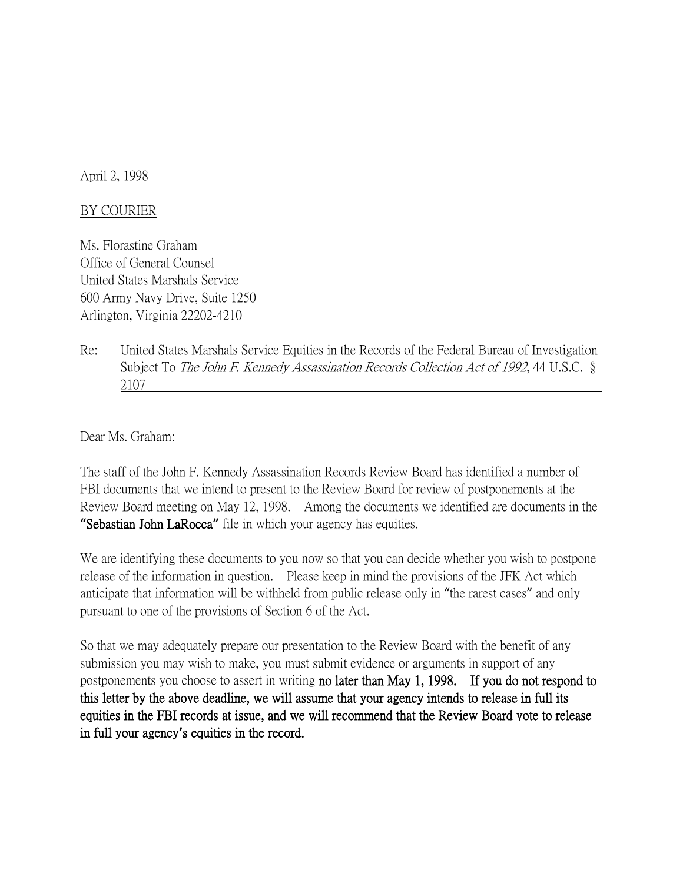April 2, 1998

## BY COURIER

Ms. Florastine Graham Office of General Counsel United States Marshals Service 600 Army Navy Drive, Suite 1250 Arlington, Virginia 22202-4210

Re: United States Marshals Service Equities in the Records of the Federal Bureau of Investigation Subject To The John F. Kennedy Assassination Records Collection Act of 1992, 44 U.S.C. § 2107

Dear Ms. Graham:

The staff of the John F. Kennedy Assassination Records Review Board has identified a number of FBI documents that we intend to present to the Review Board for review of postponements at the Review Board meeting on May 12, 1998. Among the documents we identified are documents in the **"**Sebastian John LaRocca**"** file in which your agency has equities.

We are identifying these documents to you now so that you can decide whether you wish to postpone release of the information in question. Please keep in mind the provisions of the JFK Act which anticipate that information will be withheld from public release only in "the rarest cases" and only pursuant to one of the provisions of Section 6 of the Act.

So that we may adequately prepare our presentation to the Review Board with the benefit of any submission you may wish to make, you must submit evidence or arguments in support of any postponements you choose to assert in writing no later than May 1, 1998. If you do not respond to this letter by the above deadline, we will assume that your agency intends to release in full its equities in the FBI records at issue, and we will recommend that the Review Board vote to release in full your agency**'**s equities in the record.